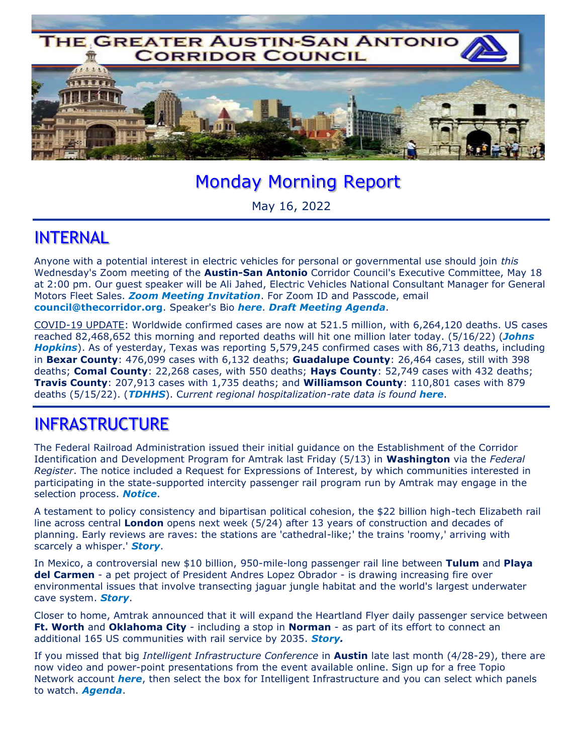

# Monday Morning Report

May 16, 2022

#### INTERNAL

Anyone with a potential interest in electric vehicles for personal or governmental use should join *this* Wednesday's Zoom meeting of the **Austin-San Antonio** Corridor Council's Executive Committee, May 18 at 2:00 pm. Our guest speaker will be Ali Jahed, Electric Vehicles National Consultant Manager for General Motors Fleet Sales. *Zoom Meeting Invitation*. For Zoom ID and Passcode, email **council@thecorridor.org**. Speaker's Bio *here*. *Draft Meeting Agenda*.

COVID-19 UPDATE: Worldwide confirmed cases are now at 521.5 million, with 6,264,120 deaths. US cases reached 82,468,652 this morning and reported deaths will hit one million later today. (5/16/22) (*Johns Hopkins*). As of yesterday, Texas was reporting 5,579,245 confirmed cases with 86,713 deaths, including in **Bexar County**: 476,099 cases with 6,132 deaths; **Guadalupe County**: 26,464 cases, still with 398 deaths; **Comal County**: 22,268 cases, with 550 deaths; **Hays County**: 52,749 cases with 432 deaths; **Travis County**: 207,913 cases with 1,735 deaths; and **Williamson County**: 110,801 cases with 879 deaths (5/15/22). (*TDHHS*). C*urrent regional hospitalization-rate data is found here*.

### INFRASTRUCTURE

The Federal Railroad Administration issued their initial guidance on the Establishment of the Corridor Identification and Development Program for Amtrak last Friday (5/13) in **Washington** via the *Federal Register*. The notice included a Request for Expressions of Interest, by which communities interested in participating in the state-supported intercity passenger rail program run by Amtrak may engage in the selection process. *Notice*.

A testament to policy consistency and bipartisan political cohesion, the \$22 billion high-tech Elizabeth rail line across central **London** opens next week (5/24) after 13 years of construction and decades of planning. Early reviews are raves: the stations are 'cathedral-like;' the trains 'roomy,' arriving with scarcely a whisper.' *Story*.

In Mexico, a controversial new \$10 billion, 950-mile-long passenger rail line between **Tulum** and **Playa del Carmen** - a pet project of President Andres Lopez Obrador - is drawing increasing fire over environmental issues that involve transecting jaguar jungle habitat and the world's largest underwater cave system. *Story*.

Closer to home, Amtrak announced that it will expand the Heartland Flyer daily passenger service between **Ft. Worth** and **Oklahoma City** - including a stop in **Norman** - as part of its effort to connect an additional 165 US communities with rail service by 2035. *Story.*

If you missed that big *Intelligent Infrastructure Conference* in **Austin** late last month (4/28-29), there are now video and power-point presentations from the event available online. Sign up for a free Topio Network account *here*, then select the box for Intelligent Infrastructure and you can select which panels to watch. *Agenda*.